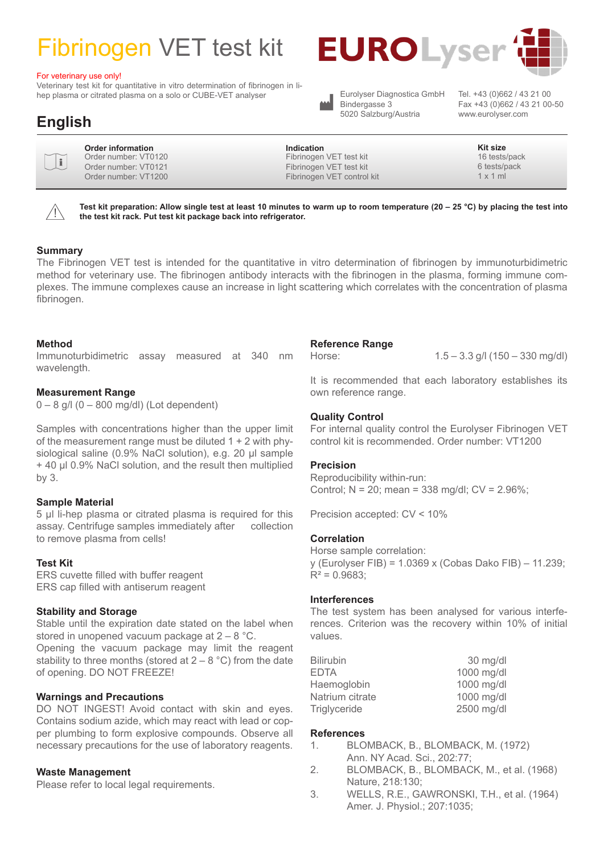# Fibrinogen VET test kit

#### For veterinary use only!

Veterinary test kit for quantitative in vitro determination of fibrinogen in lihep plasma or citrated plasma on a solo or CUBE-VET analyser



Eurolyser Diagnostica GmbH Bindergasse 3 5020 Salzburg/Austria

Eurolyser Diagnostica GmbH Tel. +43 (0)662 / 43 21 00<br>Bindergasse 3 Fax +43 (0)662 / 43 21 00-50 www.eurolyser.com

## **English**

| ٠ |
|---|
| v |
|   |

**Order information** Order number: VT0120 Order number: VT0121 Order number: VT1200

**Indication Kit size** Fibrinogen VET test kit Fibrinogen VET test kit Fibrinogen VET control kit

16 tests/pack 6 tests/pack 1 x 1 ml

 $\bigwedge$ 

**Test kit preparation: Allow single test at least 10 minutes to warm up to room temperature (20 – 25 °C) by placing the test into the test kit rack. Put test kit package back into refrigerator.**

#### **Summary**

The Fibrinogen VET test is intended for the quantitative in vitro determination of fibrinogen by immunoturbidimetric method for veterinary use. The fibrinogen antibody interacts with the fibrinogen in the plasma, forming immune complexes. The immune complexes cause an increase in light scattering which correlates with the concentration of plasma fibrinogen.

#### **Method**

Immunoturbidimetric assay measured at 340 nm wavelength.

#### **Measurement Range**

 $0 - 8$  g/l  $(0 - 800$  mg/dl) (Lot dependent)

Samples with concentrations higher than the upper limit of the measurement range must be diluted  $1 + 2$  with physiological saline (0.9% NaCl solution), e.g. 20 µl sample + 40 µl 0.9% NaCl solution, and the result then multiplied by 3.

#### **Sample Material**

5 µl li-hep plasma or citrated plasma is required for this assay. Centrifuge samples immediately after collection to remove plasma from cells!

#### **Test Kit**

ERS cuvette filled with buffer reagent ERS cap filled with antiserum reagent

#### **Stability and Storage**

Stable until the expiration date stated on the label when stored in unopened vacuum package at 2 – 8 °C. Opening the vacuum package may limit the reagent stability to three months (stored at  $2 - 8$  °C) from the date of opening. DO NOT FREEZE!

#### **Warnings and Precautions**

DO NOT INGEST! Avoid contact with skin and eyes. Contains sodium azide, which may react with lead or copper plumbing to form explosive compounds. Observe all necessary precautions for the use of laboratory reagents.

#### **Waste Management**

Please refer to local legal requirements.

#### **Reference Range**

Horse: 1.5 – 3.3 g/l (150 – 330 mg/dl)

It is recommended that each laboratory establishes its own reference range.

#### **Quality Control**

For internal quality control the Eurolyser Fibrinogen VET control kit is recommended. Order number: VT1200

#### **Precision**

Reproducibility within-run: Control; N = 20; mean = 338 mg/dl; CV = 2.96%;

Precision accepted: CV < 10%

#### **Correlation**

Horse sample correlation: y (Eurolyser FIB) = 1.0369 x (Cobas Dako FIB) – 11.239;  $R^2 = 0.9683$ 

#### **Interferences**

The test system has been analysed for various interferences. Criterion was the recovery within 10% of initial values.

| <b>Bilirubin</b> | $30$ mg/dl |
|------------------|------------|
| <b>EDTA</b>      | 1000 mg/dl |
| Haemoglobin      | 1000 mg/dl |
| Natrium citrate  | 1000 mg/dl |
| Triglyceride     | 2500 mg/dl |

#### **References**

- 1. BLOMBACK, B., BLOMBACK, M. (1972) Ann. NY Acad. Sci., 202:77;
- 2. BLOMBACK, B., BLOMBACK, M., et al. (1968) Nature, 218:130;
- 3. WELLS, R.E., GAWRONSKI, T.H., et al. (1964) Amer. J. Physiol.; 207:1035;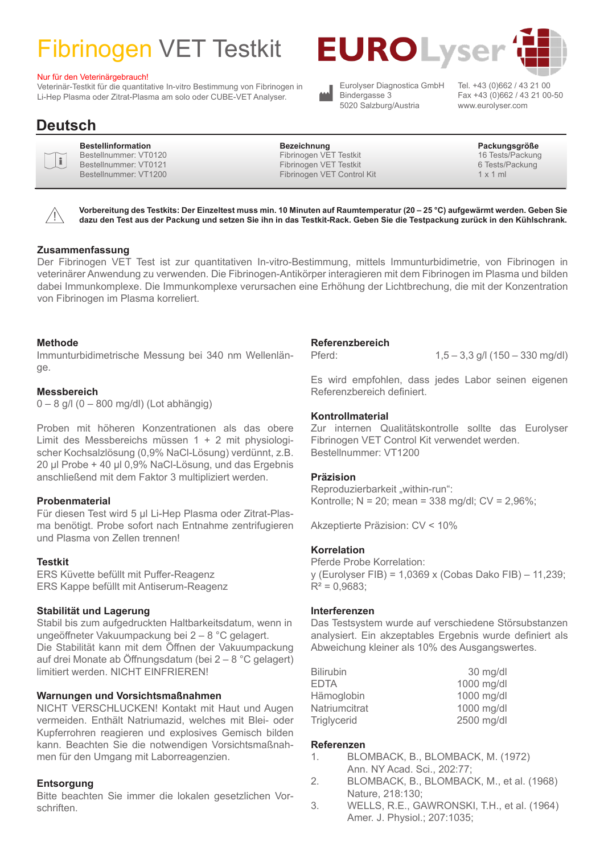# Fibrinogen VET Testkit

#### Nur für den Veterinärgebrauch!

Veterinär-Testkit für die quantitative In-vitro Bestimmung von Fibrinogen in Li-Hep Plasma oder Zitrat-Plasma am solo oder CUBE-VET Analyser.



5020 Salzburg/Austria

Tel. +43 (0)662 / 43 21 00 Fax +43 (0)662 / 43 21 00-50 www.eurolyser.com

### **Deutsch**

i

| <b>Bestellinformation</b> |
|---------------------------|
| Bestellnummer: VT0120     |
| Bestellnummer: VT0121     |
| Bestellnummer: VT1200     |
|                           |

**Bestellinformation Bezeichnung Packungsgröße** Fibrinogen VET Testkit Fibrinogen VET Testkit Fibrinogen VET Control Kit

16 Tests/Packung 6 Tests/Packung 1 x 1 ml



**Vorbereitung des Testkits: Der Einzeltest muss min. 10 Minuten auf Raumtemperatur (20 – 25 °C) aufgewärmt werden. Geben Sie dazu den Test aus der Packung und setzen Sie ihn in das Testkit-Rack. Geben Sie die Testpackung zurück in den Kühlschrank.**

#### **Zusammenfassung**

Der Fibrinogen VET Test ist zur quantitativen In-vitro-Bestimmung, mittels Immunturbidimetrie, von Fibrinogen in veterinärer Anwendung zu verwenden. Die Fibrinogen-Antikörper interagieren mit dem Fibrinogen im Plasma und bilden dabei Immunkomplexe. Die Immunkomplexe verursachen eine Erhöhung der Lichtbrechung, die mit der Konzentration von Fibrinogen im Plasma korreliert.

#### **Methode**

Immunturbidimetrische Messung bei 340 nm Wellenlänge.

#### **Messbereich**

0 – 8 g/l (0 – 800 mg/dl) (Lot abhängig)

Proben mit höheren Konzentrationen als das obere Limit des Messbereichs müssen 1 + 2 mit physiologischer Kochsalzlösung (0,9% NaCl-Lösung) verdünnt, z.B. 20 µl Probe + 40 µl 0,9% NaCl-Lösung, und das Ergebnis anschließend mit dem Faktor 3 multipliziert werden.

#### **Probenmaterial**

Für diesen Test wird 5 µl Li-Hep Plasma oder Zitrat-Plasma benötigt. Probe sofort nach Entnahme zentrifugieren und Plasma von Zellen trennen!

#### **Testkit**

ERS Küvette befüllt mit Puffer-Reagenz ERS Kappe befüllt mit Antiserum-Reagenz

#### **Stabilität und Lagerung**

Stabil bis zum aufgedruckten Haltbarkeitsdatum, wenn in ungeöffneter Vakuumpackung bei 2 – 8 °C gelagert. Die Stabilität kann mit dem Öffnen der Vakuumpackung auf drei Monate ab Öffnungsdatum (bei 2 – 8 °C gelagert) limitiert werden. NICHT EINFRIEREN!

#### **Warnungen und Vorsichtsmaßnahmen**

NICHT VERSCHLUCKEN! Kontakt mit Haut und Augen vermeiden. Enthält Natriumazid, welches mit Blei- oder Kupferrohren reagieren und explosives Gemisch bilden kann. Beachten Sie die notwendigen Vorsichtsmaßnahmen für den Umgang mit Laborreagenzien.

#### **Entsorgung**

Bitte beachten Sie immer die lokalen gesetzlichen Vorschriften.

#### **Referenzbereich**

Pferd: 1,5 – 3,3 g/l (150 – 330 mg/dl)

Es wird empfohlen, dass jedes Labor seinen eigenen Referenzbereich definiert.

#### **Kontrollmaterial**

Zur internen Qualitätskontrolle sollte das Eurolyser Fibrinogen VET Control Kit verwendet werden. Bestellnummer: VT1200

#### **Präzision**

Reproduzierbarkeit "within-run": Kontrolle; N = 20; mean = 338 mg/dl; CV = 2,96%;

Akzeptierte Präzision: CV < 10%

#### **Korrelation**

Pferde Probe Korrelation: y (Eurolyser FIB) = 1,0369 x (Cobas Dako FIB) – 11,239;  $R^2 = 0.9683$ ;

#### **Interferenzen**

Das Testsystem wurde auf verschiedene Störsubstanzen analysiert. Ein akzeptables Ergebnis wurde definiert als Abweichung kleiner als 10% des Ausgangswertes.

| $30$ mg/dl |
|------------|
| 1000 mg/dl |
| 1000 mg/dl |
| 1000 mg/dl |
| 2500 mg/dl |
|            |

#### **Referenzen**

- 1. BLOMBACK, B., BLOMBACK, M. (1972) Ann. NY Acad. Sci., 202:77;
- 2. BLOMBACK, B., BLOMBACK, M., et al. (1968) Nature, 218:130;
- 3. WELLS, R.E., GAWRONSKI, T.H., et al. (1964) Amer. J. Physiol.; 207:1035;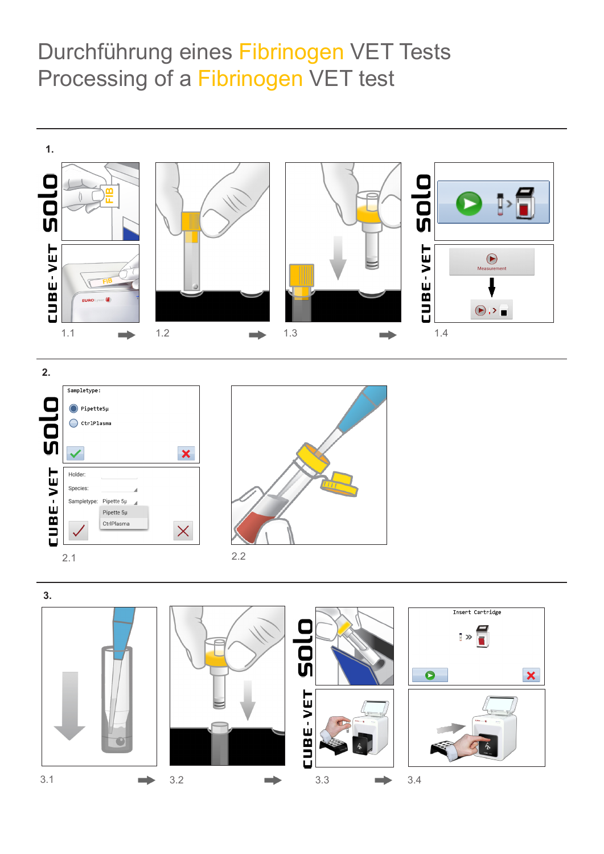# Durchführung eines Fibrinogen VET Tests Processing of a Fibrinogen VET test







2.2